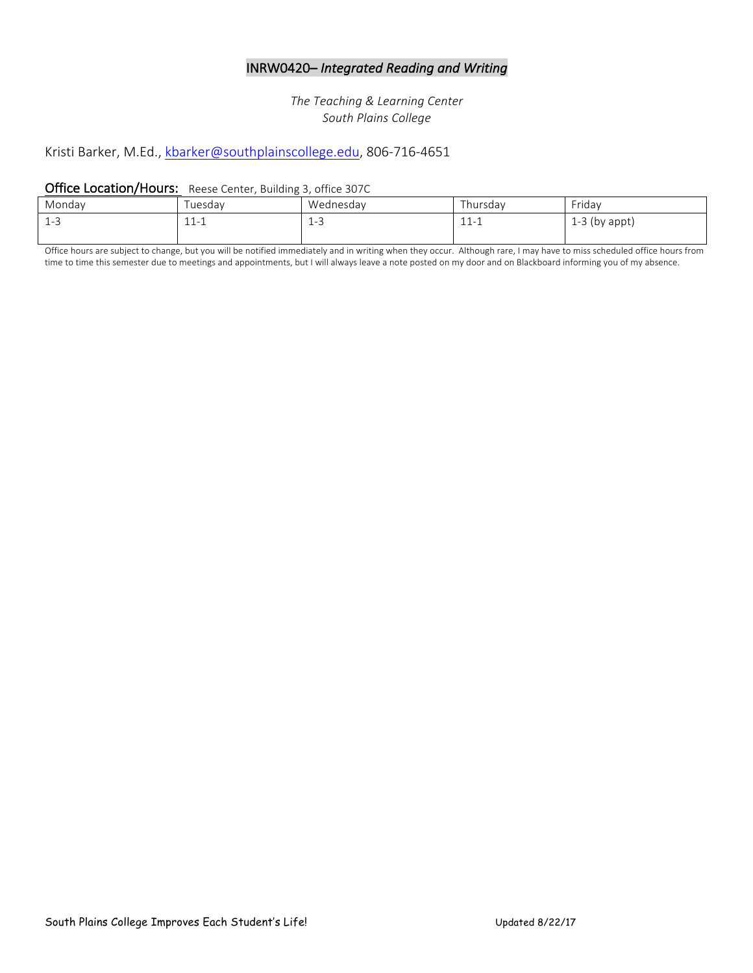# INRW0420– Integrated Reading and Writing

*The Teaching & Learning Center South Plains College*

# Kristi Barker, M.Ed., kbarker@southplainscollege.edu, 806-716-4651

#### Office Location/Hours: Reese Center, Building 3, office 307C

| Monday                                          | uesday                  | Wednesday | I hursday                           | Friday             |
|-------------------------------------------------|-------------------------|-----------|-------------------------------------|--------------------|
| $\overline{1}$<br>$\overline{\phantom{0}}$<br>ᅩ | 11<br>$\pm$ $\pm$ $\pm$ | 1-2       | $\overline{ }$<br>. .<br>-⊥ -⊥ - -⊥ | 3 (by appt)<br>L-J |
|                                                 |                         |           |                                     |                    |

Office hours are subject to change, but you will be notified immediately and in writing when they occur. Although rare, I may have to miss scheduled office hours from time to time this semester due to meetings and appointments, but I will always leave a note posted on my door and on Blackboard informing you of my absence.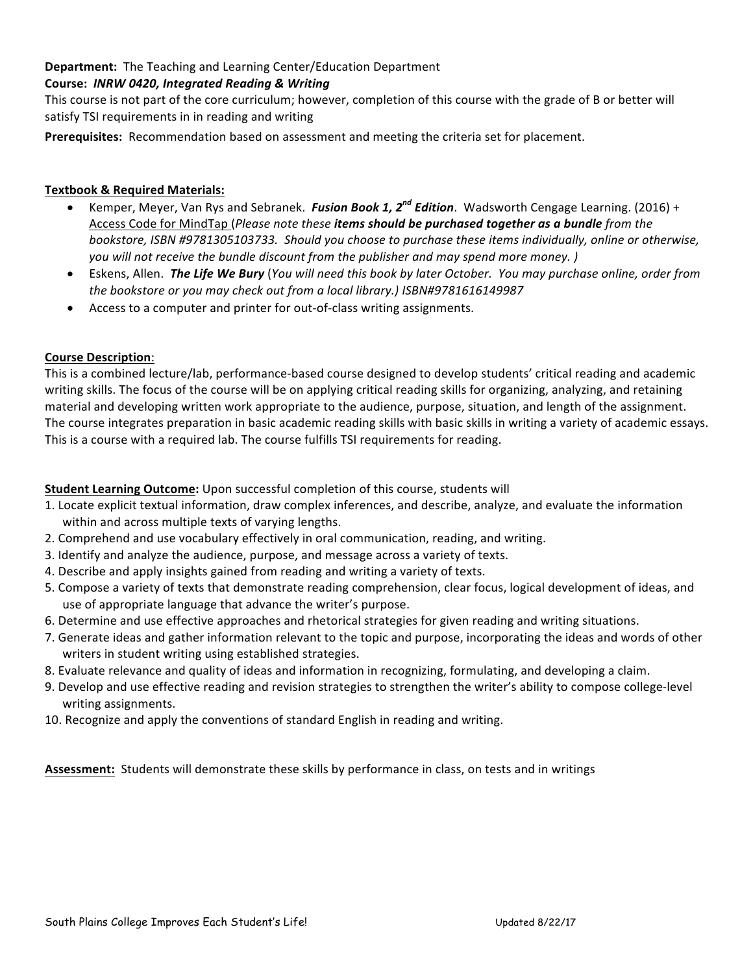## Department: The Teaching and Learning Center/Education Department

## Course: **INRW 0420, Integrated Reading & Writing**

This course is not part of the core curriculum; however, completion of this course with the grade of B or better will satisfy TSI requirements in in reading and writing

**Prerequisites:** Recommendation based on assessment and meeting the criteria set for placement.

### **Textbook & Required Materials:**

- Kemper, Meyer, Van Rys and Sebranek. *Fusion Book 1, 2<sup>nd</sup> Edition*. Wadsworth Cengage Learning. (2016) + Access Code for MindTap (Please note these *items should be purchased together as a bundle from the* bookstore, ISBN #9781305103733. Should you choose to purchase these items individually, online or otherwise, *you* will not receive the bundle discount from the publisher and may spend more money. )
- Eskens, Allen. The Life We Bury (You will need this book by later October. You may purchase online, order from *the bookstore or you may check out from a local library.) ISBN#9781616149987*
- Access to a computer and printer for out-of-class writing assignments.

#### **Course Description**:

This is a combined lecture/lab, performance-based course designed to develop students' critical reading and academic writing skills. The focus of the course will be on applying critical reading skills for organizing, analyzing, and retaining material and developing written work appropriate to the audience, purpose, situation, and length of the assignment. The course integrates preparation in basic academic reading skills with basic skills in writing a variety of academic essays. This is a course with a required lab. The course fulfills TSI requirements for reading.

## **Student Learning Outcome:** Upon successful completion of this course, students will

- 1. Locate explicit textual information, draw complex inferences, and describe, analyze, and evaluate the information within and across multiple texts of varying lengths.
- 2. Comprehend and use vocabulary effectively in oral communication, reading, and writing.
- 3. Identify and analyze the audience, purpose, and message across a variety of texts.
- 4. Describe and apply insights gained from reading and writing a variety of texts.
- 5. Compose a variety of texts that demonstrate reading comprehension, clear focus, logical development of ideas, and use of appropriate language that advance the writer's purpose.
- 6. Determine and use effective approaches and rhetorical strategies for given reading and writing situations.
- 7. Generate ideas and gather information relevant to the topic and purpose, incorporating the ideas and words of other writers in student writing using established strategies.
- 8. Evaluate relevance and quality of ideas and information in recognizing, formulating, and developing a claim.
- 9. Develop and use effective reading and revision strategies to strengthen the writer's ability to compose college-level writing assignments.
- 10. Recognize and apply the conventions of standard English in reading and writing.

Assessment: Students will demonstrate these skills by performance in class, on tests and in writings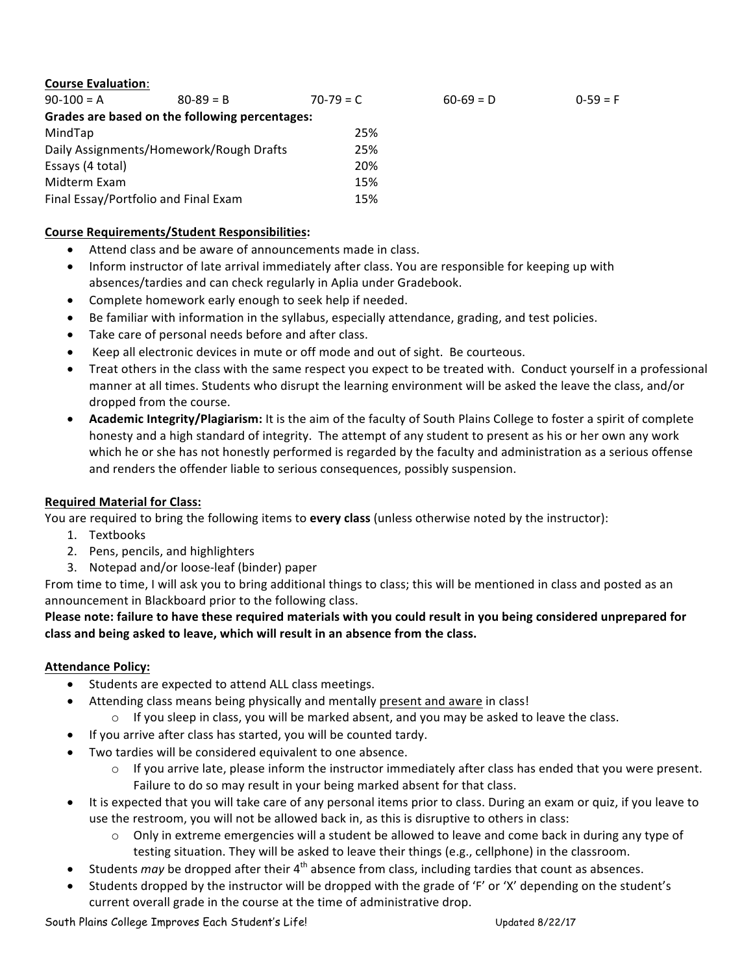## **Course Evaluation**:

| $90-100 = A$                            | $80 - 89 = B$                                  | $70-79 = C$ | $60-69 = D$ | $0-59 = F$ |
|-----------------------------------------|------------------------------------------------|-------------|-------------|------------|
|                                         | Grades are based on the following percentages: |             |             |            |
| MindTap                                 |                                                | 25%         |             |            |
| Daily Assignments/Homework/Rough Drafts |                                                | 25%         |             |            |
| Essays (4 total)                        |                                                | 20%         |             |            |
| Midterm Exam                            |                                                | 15%         |             |            |
| Final Essay/Portfolio and Final Exam    |                                                | 15%         |             |            |

## **Course Requirements/Student Responsibilities:**

- Attend class and be aware of announcements made in class.
- Inform instructor of late arrival immediately after class. You are responsible for keeping up with absences/tardies and can check regularly in Aplia under Gradebook.
- Complete homework early enough to seek help if needed.
- Be familiar with information in the syllabus, especially attendance, grading, and test policies.
- Take care of personal needs before and after class.
- Keep all electronic devices in mute or off mode and out of sight. Be courteous.
- Treat others in the class with the same respect you expect to be treated with. Conduct yourself in a professional manner at all times. Students who disrupt the learning environment will be asked the leave the class, and/or dropped from the course.
- Academic Integrity/Plagiarism: It is the aim of the faculty of South Plains College to foster a spirit of complete honesty and a high standard of integrity. The attempt of any student to present as his or her own any work which he or she has not honestly performed is regarded by the faculty and administration as a serious offense and renders the offender liable to serious consequences, possibly suspension.

## **Required Material for Class:**

You are required to bring the following items to **every class** (unless otherwise noted by the instructor):

- 1. Textbooks
- 2. Pens, pencils, and highlighters
- 3. Notepad and/or loose-leaf (binder) paper

From time to time, I will ask you to bring additional things to class; this will be mentioned in class and posted as an announcement in Blackboard prior to the following class.

Please note: failure to have these required materials with you could result in you being considered unprepared for class and being asked to leave, which will result in an absence from the class.

# **Attendance Policy:**

- Students are expected to attend ALL class meetings.
- Attending class means being physically and mentally present and aware in class!
	- $\circ$  If you sleep in class, you will be marked absent, and you may be asked to leave the class.
- If you arrive after class has started, you will be counted tardy.
- Two tardies will be considered equivalent to one absence.
	- $\circ$  If you arrive late, please inform the instructor immediately after class has ended that you were present. Failure to do so may result in your being marked absent for that class.
- It is expected that you will take care of any personal items prior to class. During an exam or quiz, if you leave to use the restroom, you will not be allowed back in, as this is disruptive to others in class:
	- $\circ$  Only in extreme emergencies will a student be allowed to leave and come back in during any type of testing situation. They will be asked to leave their things (e.g., cellphone) in the classroom.
- Students *may* be dropped after their  $4<sup>th</sup>$  absence from class, including tardies that count as absences.
- Students dropped by the instructor will be dropped with the grade of 'F' or 'X' depending on the student's current overall grade in the course at the time of administrative drop.

South Plains College Improves Each Student's Life! No and the Updated 8/22/17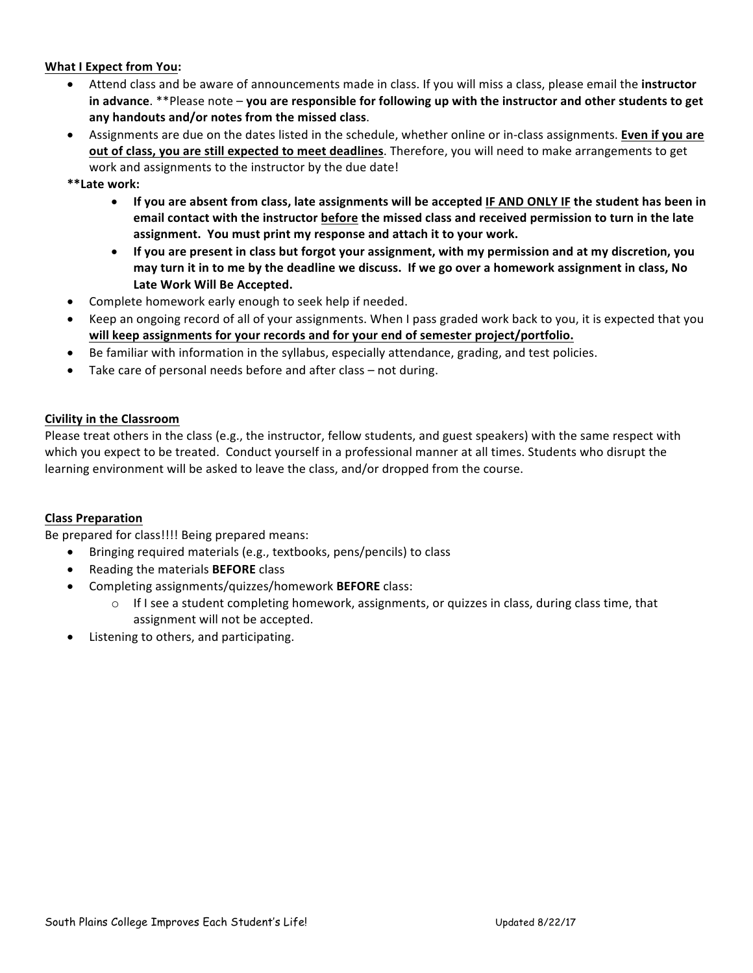### **What I Expect from You:**

- Attend class and be aware of announcements made in class. If you will miss a class, please email the **instructor** in advance. \*\*Please note – you are responsible for following up with the instructor and other students to get any handouts and/or notes from the missed class.
- Assignments are due on the dates listed in the schedule, whether online or in-class assignments. **Even if you are out of class, you are still expected to meet deadlines**. Therefore, you will need to make arrangements to get work and assignments to the instructor by the due date!
- **\*\*Late work:**
	- If you are absent from class, late assignments will be accepted IF AND ONLY IF the student has been in email contact with the instructor before the missed class and received permission to turn in the late **assignment. You must print my response and attach it to your work.**
	- If you are present in class but forgot your assignment, with my permission and at my discretion, you **may turn it in to me by the deadline we discuss. If we go over a homework assignment in class, No** Late Work Will Be Accepted.
- Complete homework early enough to seek help if needed.
- Keep an ongoing record of all of your assignments. When I pass graded work back to you, it is expected that you will keep assignments for your records and for your end of semester project/portfolio.
- Be familiar with information in the syllabus, especially attendance, grading, and test policies.
- Take care of personal needs before and after class  $-$  not during.

#### **Civility in the Classroom**

Please treat others in the class (e.g., the instructor, fellow students, and guest speakers) with the same respect with which you expect to be treated. Conduct yourself in a professional manner at all times. Students who disrupt the learning environment will be asked to leave the class, and/or dropped from the course.

#### **Class Preparation**

Be prepared for class!!!! Being prepared means:

- Bringing required materials (e.g., textbooks, pens/pencils) to class
- **•** Reading the materials **BEFORE** class
- **•** Completing assignments/quizzes/homework **BEFORE** class:
	- $\circ$  If I see a student completing homework, assignments, or quizzes in class, during class time, that assignment will not be accepted.
- Listening to others, and participating.